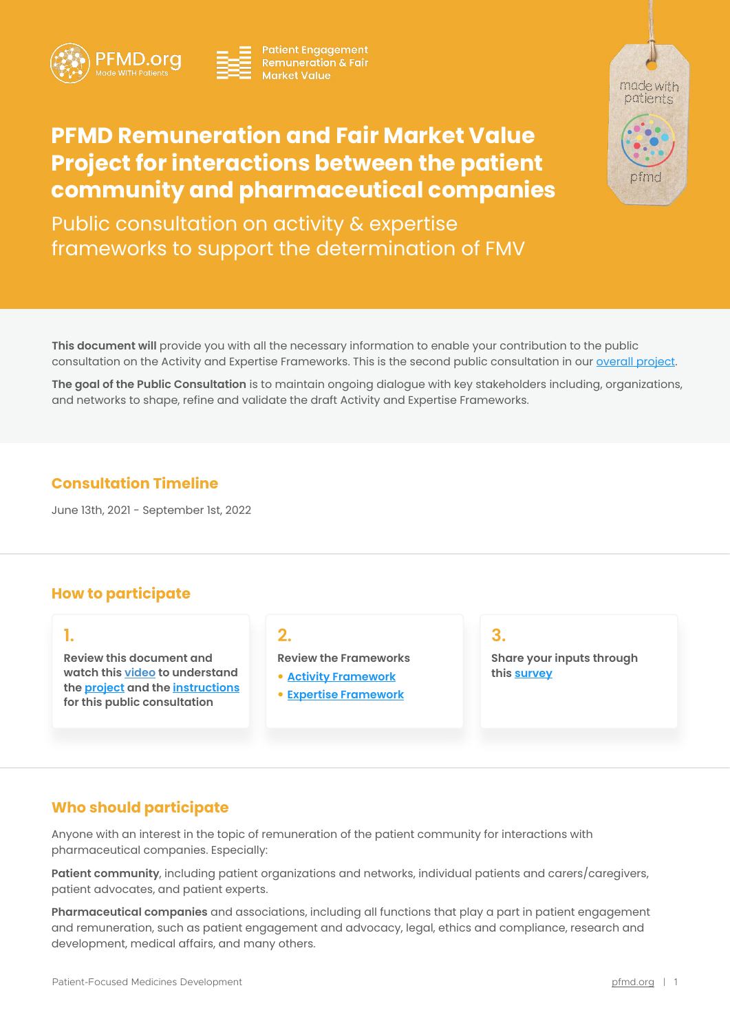



**Patient Engagement Remuneration & Fair Market Value** 



# **PFMD Remuneration and Fair Market Value Project for interactions between the patient community and pharmaceutical companies**

Public consultation on activity & expertise frameworks to support the determination of FMV

**This document will** provide you with all the necessary information to enable your contribution to the public consultation on the Activity and Expertise Frameworks. This is the second public consultation in our [overall project.](#page-1-0)

**The goal of the Public Consultation** is to maintain ongoing dialogue with key stakeholders including, organizations, and networks to shape, refine and validate the draft Activity and Expertise Frameworks.

# **Consultation Timeline**

June 13th, 2021 - September 1st, 2022

# **How to participate**

**Review this document and watch this [video](https://www.youtube.com/watch?v=pTp-lLaGSaU) to understand the [project](#page-1-0) and the [instructions](#page-2-0) for this public consultation** 

**Review the Frameworks**

- **[Activity Framework](#page-2-0)**
- y **[Expertise Framework](#page-4-0)**

# **1. 2. 3.**

**Share your inputs through this [survey](#page-2-0)**

### **Who should participate**

Anyone with an interest in the topic of remuneration of the patient community for interactions with pharmaceutical companies. Especially:

**Patient community**, including patient organizations and networks, individual patients and carers/caregivers, patient advocates, and patient experts.

**Pharmaceutical companies** and associations, including all functions that play a part in patient engagement and remuneration, such as patient engagement and advocacy, legal, ethics and compliance, research and development, medical affairs, and many others.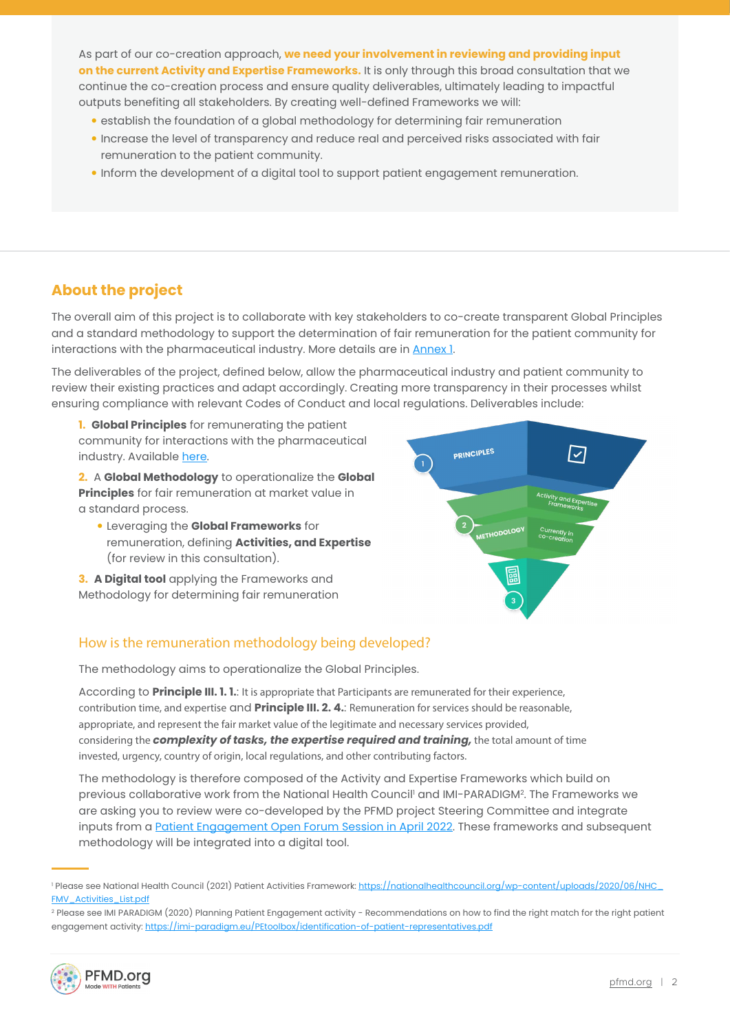<span id="page-1-0"></span>As part of our co-creation approach, **we need your involvement in reviewing and providing input on the current Activity and Expertise Frameworks.** It is only through this broad consultation that we continue the co-creation process and ensure quality deliverables, ultimately leading to impactful outputs benefiting all stakeholders. By creating well-defined Frameworks we will:

- establish the foundation of a global methodology for determining fair remuneration
- y Increase the level of transparency and reduce real and perceived risks associated with fair remuneration to the patient community.
- . Inform the development of a digital tool to support patient engagement remuneration.

# **About the project**

The overall aim of this project is to collaborate with key stakeholders to co-create transparent Global Principles and a standard methodology to support the determination of fair remuneration for the patient community for interactions with the pharmaceutical industry. More details are in [Annex 1](#page-9-0).

The deliverables of the project, defined below, allow the pharmaceutical industry and patient community to review their existing practices and adapt accordingly. Creating more transparency in their processes whilst ensuring compliance with relevant Codes of Conduct and local regulations. Deliverables include:

**1. Global Principles** for remunerating the patient community for interactions with the pharmaceutical industry. Available [here.](https://pemsuite.org/wp-content/uploads/2022/02/PFMD_Global-Principles-for-remunerating-the-patient-community-for-interactions-with-the-pharmaceutical-industry.pdf)

**2.** A **Global Methodology** to operationalize the **Global Principles** for fair remuneration at market value in a standard process.

**• Leveraging the Global Frameworks** for remuneration, defining **Activities, and Expertise** (for review in this consultation).

**3. A Digital tool** applying the Frameworks and Methodology for determining fair remuneration



### How is the remuneration methodology being developed?

The methodology aims to operationalize the Global Principles.

According to **Principle III. 1. 1.**: It is appropriate that Participants are remunerated for their experience, contribution time, and expertise and **Principle III. 2. 4.**: Remuneration for services should be reasonable, appropriate, and represent the fair market value of the legitimate and necessary services provided, considering the *complexity of tasks, the expertise required and training,* the total amount of time invested, urgency, country of origin, local regulations, and other contributing factors.

The methodology is therefore composed of the Activity and Expertise Frameworks which build on previous collaborative work from the National Health Council' and IMI-PARADIGM<sup>2</sup>. The Frameworks we are asking you to review were co-developed by the PFMD project Steering Committee and integrate inputs from a [Patient Engagement Open Forum Session in April 2022](https://patientengagement.synapseconnect.org/resources/peof-recording-taking-action-and-driving-change-co-creating-frameworks-and-standards-for-remuneration-of-patient-pharma-interactions). These frameworks and subsequent methodology will be integrated into a digital tool.

<sup>&</sup>lt;sup>2</sup> Please see IMI PARADIGM (2020) Planning Patient Engagement activity - Recommendations on how to find the right match for the right patient engagement activity: <https://imi-paradigm.eu/PEtoolbox/identification-of-patient-representatives.pdf>



<sup>&</sup>lt;sup>1</sup> Please see National Health Council (2021) Patient Activities Framewor<mark>k: <u>https://nationalhealthcouncil.org/wp-content/uploads/2020/06/NHC .</u></mark> FMV Activities List.pdf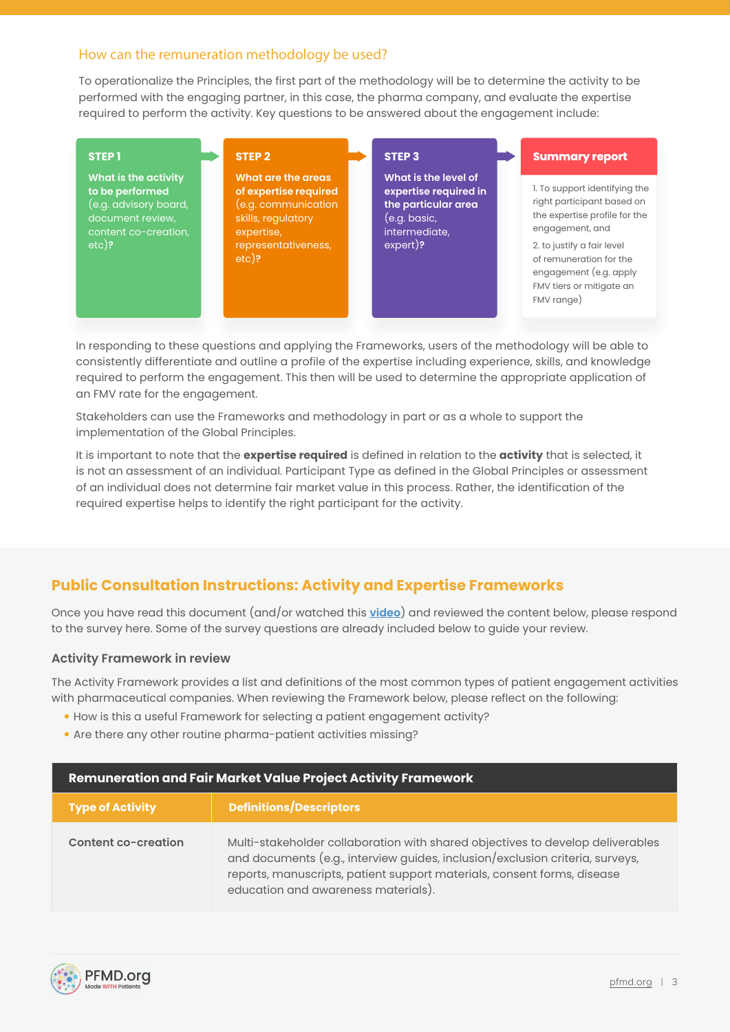### <span id="page-2-0"></span>How can the remuneration methodology be used?

To operationalize the Principles, the first part of the methodology will be to determine the activity to be performed with the engaging partner, in this case, the pharma company, and evaluate the expertise required to perform the activity. Key questions to be answered about the engagement include:

| <b>STEP1</b>                                                                                                               | <b>STEP 2</b>                                                                                                                             | STEP <sub>3</sub>                                                                                                 | <b>Summary report</b>                                                                                                                                                                                                                        |
|----------------------------------------------------------------------------------------------------------------------------|-------------------------------------------------------------------------------------------------------------------------------------------|-------------------------------------------------------------------------------------------------------------------|----------------------------------------------------------------------------------------------------------------------------------------------------------------------------------------------------------------------------------------------|
| What is the activity<br>to be performed<br>$(e.g.$ advisory board,<br>document review,<br>content co-creation,<br>$etc)$ ? | What are the areas<br>of expertise required<br>(e.g. communication<br>skills, regulatory<br>expertise,<br>representativeness,<br>$etc$ )? | What is the level of<br>expertise required in<br>the particular area<br>(e.g. basic,<br>intermediate,<br>expert)? | 1. To support identifying the<br>right participant based on<br>the expertise profile for the<br>engagement, and<br>2. to justify a fair level<br>of remuneration for the<br>engagement (e.g. apply<br>FMV tiers or mitigate an<br>FMV range) |

In responding to these questions and applying the Frameworks, users of the methodology will be able to consistently differentiate and outline a profile of the expertise including experience, skills, and knowledge required to perform the engagement. This then will be used to determine the appropriate application of an FMV rate for the engagement.

Stakeholders can use the Frameworks and methodology in part or as a whole to support the implementation of the Global Principles.

It is important to note that the **expertise required** is defined in relation to the **activity** that is selected, it is not an assessment of an individual. Participant Type as defined in the Global Principles or assessment of an individual does not determine fair market value in this process. Rather, the identification of the required expertise helps to identify the right participant for the activity.

# **Public Consultation Instructions: Activity and Expertise Frameworks**

Once you have read this document (and/or watched this **[video](https://www.youtube.com/watch?v=pTp-lLaGSaU)**) and reviewed the content below, please respond to the survey here. Some of the survey questions are already included below to guide your review.

#### **Activity Framework in review**

The Activity Framework provides a list and definitions of the most common types of patient engagement activities with pharmaceutical companies. When reviewing the Framework below, please reflect on the following:

- How is this a useful Framework for selecting a patient engagement activity?
- Are there any other routine pharma-patient activities missing?

| Remuneration and Fair Market Value Project Activity Framework |                                                                                                                                                                                                                                                                                   |  |  |
|---------------------------------------------------------------|-----------------------------------------------------------------------------------------------------------------------------------------------------------------------------------------------------------------------------------------------------------------------------------|--|--|
| <b>Type of Activity</b>                                       | <b>Definitions/Descriptors</b>                                                                                                                                                                                                                                                    |  |  |
| <b>Content co-creation</b>                                    | Multi-stakeholder collaboration with shared objectives to develop deliverables<br>and documents (e.g., interview guides, inclusion/exclusion criteria, surveys,<br>reports, manuscripts, patient support materials, consent forms, disease<br>education and awareness materials). |  |  |

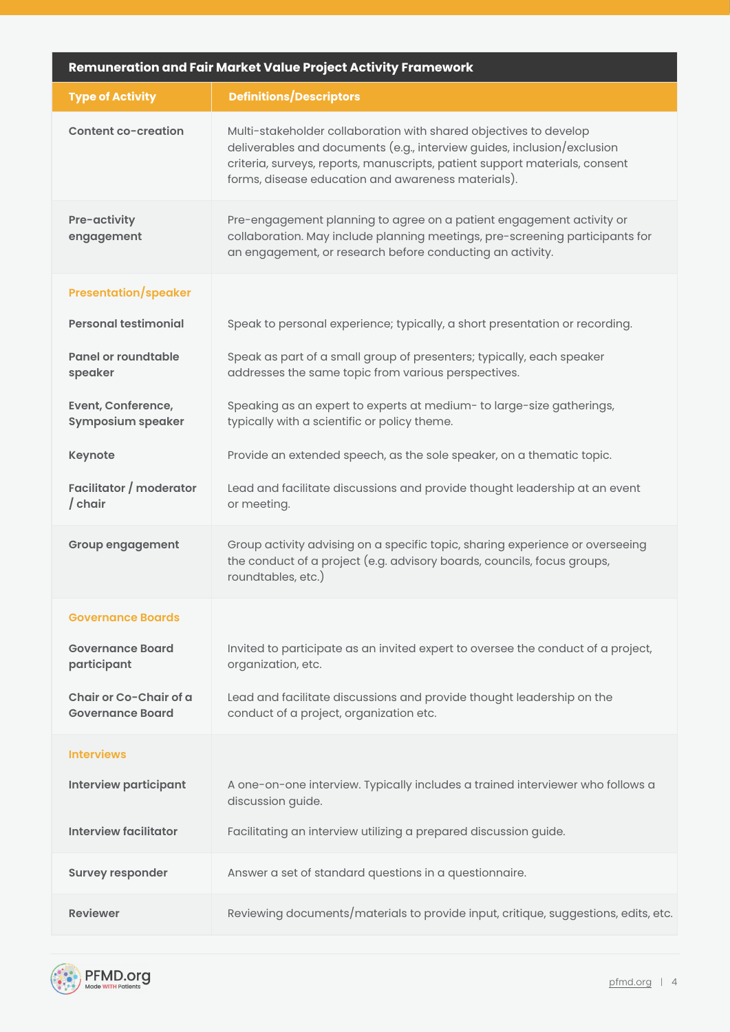| Remuneration and Fair Market Value Project Activity Framework |                                                                                                                                                                                                                                                                                   |  |  |  |
|---------------------------------------------------------------|-----------------------------------------------------------------------------------------------------------------------------------------------------------------------------------------------------------------------------------------------------------------------------------|--|--|--|
| <b>Type of Activity</b>                                       | <b>Definitions/Descriptors</b>                                                                                                                                                                                                                                                    |  |  |  |
| Content co-creation                                           | Multi-stakeholder collaboration with shared objectives to develop<br>deliverables and documents (e.g., interview guides, inclusion/exclusion<br>criteria, surveys, reports, manuscripts, patient support materials, consent<br>forms, disease education and awareness materials). |  |  |  |
| Pre-activity<br>engagement                                    | Pre-engagement planning to agree on a patient engagement activity or<br>collaboration. May include planning meetings, pre-screening participants for<br>an engagement, or research before conducting an activity.                                                                 |  |  |  |
| <b>Presentation/speaker</b>                                   |                                                                                                                                                                                                                                                                                   |  |  |  |
| <b>Personal testimonial</b>                                   | Speak to personal experience; typically, a short presentation or recording.                                                                                                                                                                                                       |  |  |  |
| Panel or roundtable<br>speaker                                | Speak as part of a small group of presenters; typically, each speaker<br>addresses the same topic from various perspectives.                                                                                                                                                      |  |  |  |
| Event, Conference,<br><b>Symposium speaker</b>                | Speaking as an expert to experts at medium- to large-size gatherings,<br>typically with a scientific or policy theme.                                                                                                                                                             |  |  |  |
| <b>Keynote</b>                                                | Provide an extended speech, as the sole speaker, on a thematic topic.                                                                                                                                                                                                             |  |  |  |
| Facilitator / moderator<br>$/$ chair                          | Lead and facilitate discussions and provide thought leadership at an event<br>or meeting.                                                                                                                                                                                         |  |  |  |
| <b>Group engagement</b>                                       | Group activity advising on a specific topic, sharing experience or overseeing<br>the conduct of a project (e.g. advisory boards, councils, focus groups,<br>roundtables, etc.)                                                                                                    |  |  |  |
| <b>Governance Boards</b>                                      |                                                                                                                                                                                                                                                                                   |  |  |  |
| <b>Governance Board</b><br>participant                        | Invited to participate as an invited expert to oversee the conduct of a project,<br>organization, etc.                                                                                                                                                                            |  |  |  |
| Chair or Co-Chair of a<br><b>Governance Board</b>             | Lead and facilitate discussions and provide thought leadership on the<br>conduct of a project, organization etc.                                                                                                                                                                  |  |  |  |
| <b>Interviews</b>                                             |                                                                                                                                                                                                                                                                                   |  |  |  |
| <b>Interview participant</b>                                  | A one-on-one interview. Typically includes a trained interviewer who follows a<br>discussion guide.                                                                                                                                                                               |  |  |  |
| <b>Interview facilitator</b>                                  | Facilitating an interview utilizing a prepared discussion guide.                                                                                                                                                                                                                  |  |  |  |
| <b>Survey responder</b>                                       | Answer a set of standard questions in a questionnaire.                                                                                                                                                                                                                            |  |  |  |
| <b>Reviewer</b>                                               | Reviewing documents/materials to provide input, critique, suggestions, edits, etc.                                                                                                                                                                                                |  |  |  |

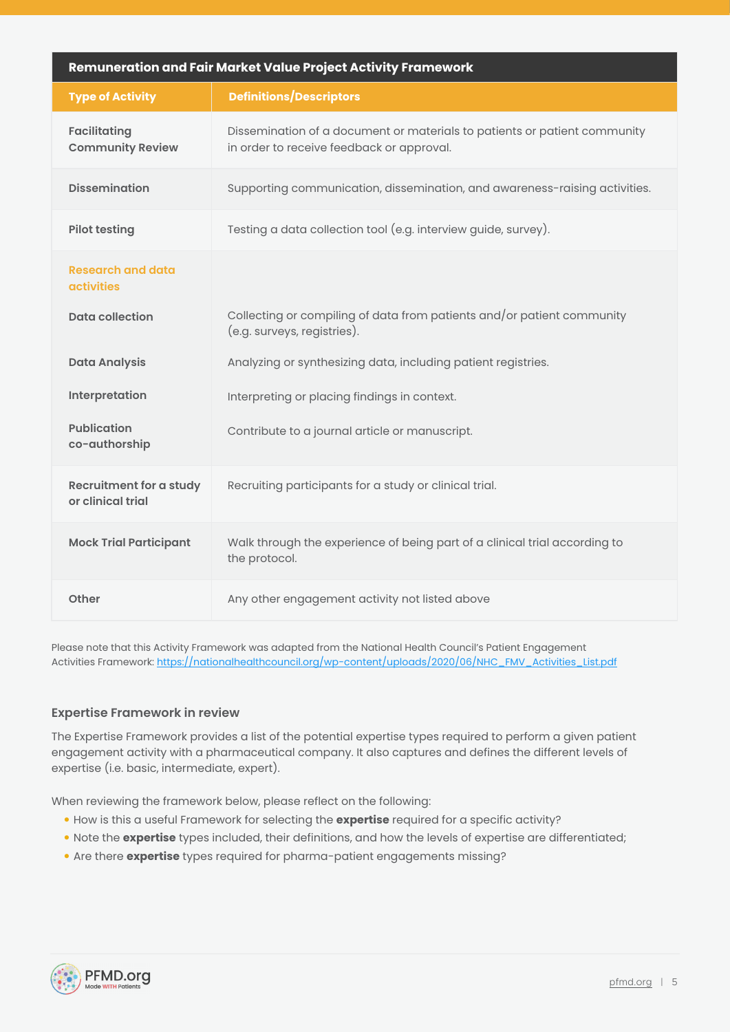<span id="page-4-0"></span>

| Remuneration and Fair Market Value Project Activity Framework |                                                                                                                        |  |  |
|---------------------------------------------------------------|------------------------------------------------------------------------------------------------------------------------|--|--|
| <b>Type of Activity</b>                                       | <b>Definitions/Descriptors</b>                                                                                         |  |  |
| <b>Facilitating</b><br><b>Community Review</b>                | Dissemination of a document or materials to patients or patient community<br>in order to receive feedback or approval. |  |  |
| <b>Dissemination</b>                                          | Supporting communication, dissemination, and awareness-raising activities.                                             |  |  |
| <b>Pilot testing</b>                                          | Testing a data collection tool (e.g. interview guide, survey).                                                         |  |  |
| <b>Research and data</b><br><b>activities</b>                 |                                                                                                                        |  |  |
| <b>Data collection</b>                                        | Collecting or compiling of data from patients and/or patient community<br>(e.g. surveys, registries).                  |  |  |
| <b>Data Analysis</b>                                          | Analyzing or synthesizing data, including patient registries.                                                          |  |  |
| Interpretation                                                | Interpreting or placing findings in context.                                                                           |  |  |
| <b>Publication</b><br>co-authorship                           | Contribute to a journal article or manuscript.                                                                         |  |  |
| Recruitment for a study<br>or clinical trial                  | Recruiting participants for a study or clinical trial.                                                                 |  |  |
| <b>Mock Trial Participant</b>                                 | Walk through the experience of being part of a clinical trial according to<br>the protocol.                            |  |  |
| Other                                                         | Any other engagement activity not listed above                                                                         |  |  |

Please note that this Activity Framework was adapted from the National Health Council's Patient Engagement Activities Framework: [https://nationalhealthcouncil.org/wp-content/uploads/2020/06/NHC\\_FMV\\_Activities\\_List.pdf](https://nationalhealthcouncil.org/wp-content/uploads/2020/06/NHC_FMV_Activities_List.pdf)

#### **Expertise Framework in review**

The Expertise Framework provides a list of the potential expertise types required to perform a given patient engagement activity with a pharmaceutical company. It also captures and defines the different levels of expertise (i.e. basic, intermediate, expert).

When reviewing the framework below, please reflect on the following:

- y How is this a useful Framework for selecting the **expertise** required for a specific activity?
- Note the **expertise** types included, their definitions, and how the levels of expertise are differentiated;
- Are there **expertise** types required for pharma-patient engagements missing?

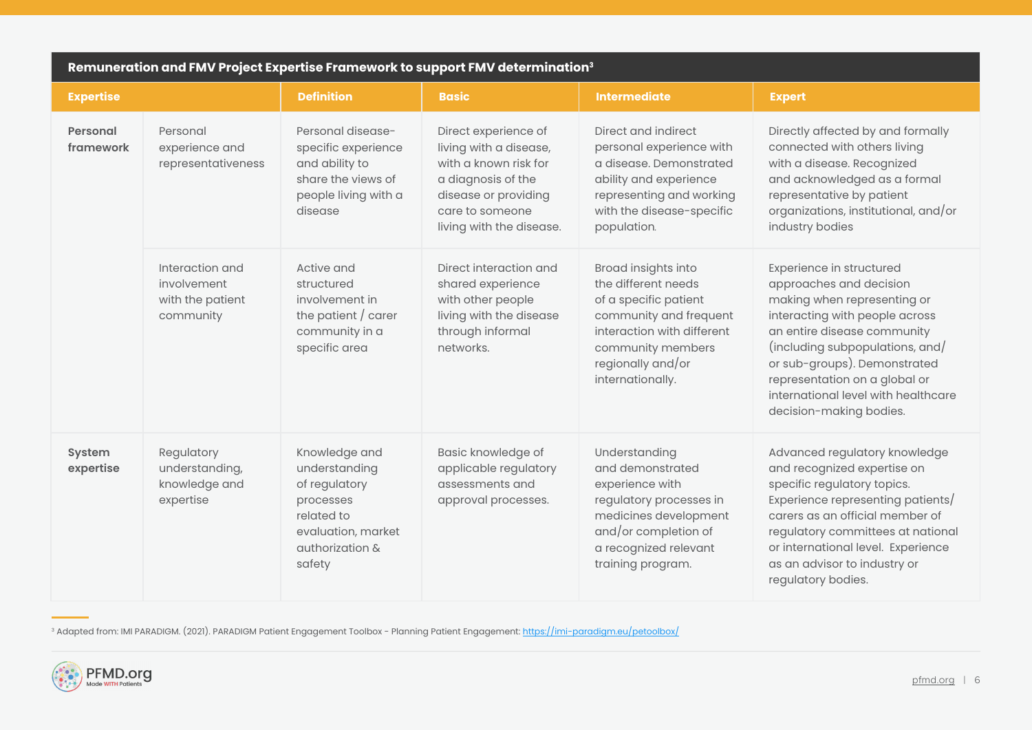| Remuneration and FMV Project Expertise Framework to support FMV determination <sup>3</sup> |                                                                 |                                                                                                                               |                                                                                                                                                                      |                                                                                                                                                                                           |                                                                                                                                                                                                                                                                                                                           |
|--------------------------------------------------------------------------------------------|-----------------------------------------------------------------|-------------------------------------------------------------------------------------------------------------------------------|----------------------------------------------------------------------------------------------------------------------------------------------------------------------|-------------------------------------------------------------------------------------------------------------------------------------------------------------------------------------------|---------------------------------------------------------------------------------------------------------------------------------------------------------------------------------------------------------------------------------------------------------------------------------------------------------------------------|
| <b>Expertise</b>                                                                           |                                                                 | <b>Definition</b>                                                                                                             | <b>Basic</b>                                                                                                                                                         | <b>Intermediate</b>                                                                                                                                                                       | <b>Expert</b>                                                                                                                                                                                                                                                                                                             |
| <b>Personal</b><br>framework                                                               | Personal<br>experience and<br>representativeness                | Personal disease-<br>specific experience<br>and ability to<br>share the views of<br>people living with a<br>disease           | Direct experience of<br>living with a disease,<br>with a known risk for<br>a diagnosis of the<br>disease or providing<br>care to someone<br>living with the disease. | Direct and indirect<br>personal experience with<br>a disease. Demonstrated<br>ability and experience<br>representing and working<br>with the disease-specific<br>population.              | Directly affected by and formally<br>connected with others living<br>with a disease. Recognized<br>and acknowledged as a formal<br>representative by patient<br>organizations, institutional, and/or<br>industry bodies                                                                                                   |
|                                                                                            | Interaction and<br>involvement<br>with the patient<br>community | Active and<br>structured<br>involvement in<br>the patient $/$ carer<br>community in a<br>specific area                        | Direct interaction and<br>shared experience<br>with other people<br>living with the disease<br>through informal<br>networks.                                         | Broad insights into<br>the different needs<br>of a specific patient<br>community and frequent<br>interaction with different<br>community members<br>regionally and/or<br>internationally. | Experience in structured<br>approaches and decision<br>making when representing or<br>interacting with people across<br>an entire disease community<br>(including subpopulations, and/<br>or sub-groups). Demonstrated<br>representation on a global or<br>international level with healthcare<br>decision-making bodies. |
| System<br>expertise                                                                        | Regulatory<br>understanding,<br>knowledge and<br>expertise      | Knowledge and<br>understanding<br>of regulatory<br>processes<br>related to<br>evaluation, market<br>authorization &<br>safety | Basic knowledge of<br>applicable regulatory<br>assessments and<br>approval processes.                                                                                | Understanding<br>and demonstrated<br>experience with<br>regulatory processes in<br>medicines development<br>and/or completion of<br>a recognized relevant<br>training program.            | Advanced regulatory knowledge<br>and recognized expertise on<br>specific regulatory topics.<br>Experience representing patients/<br>carers as an official member of<br>regulatory committees at national<br>or international level. Experience<br>as an advisor to industry or<br>regulatory bodies.                      |

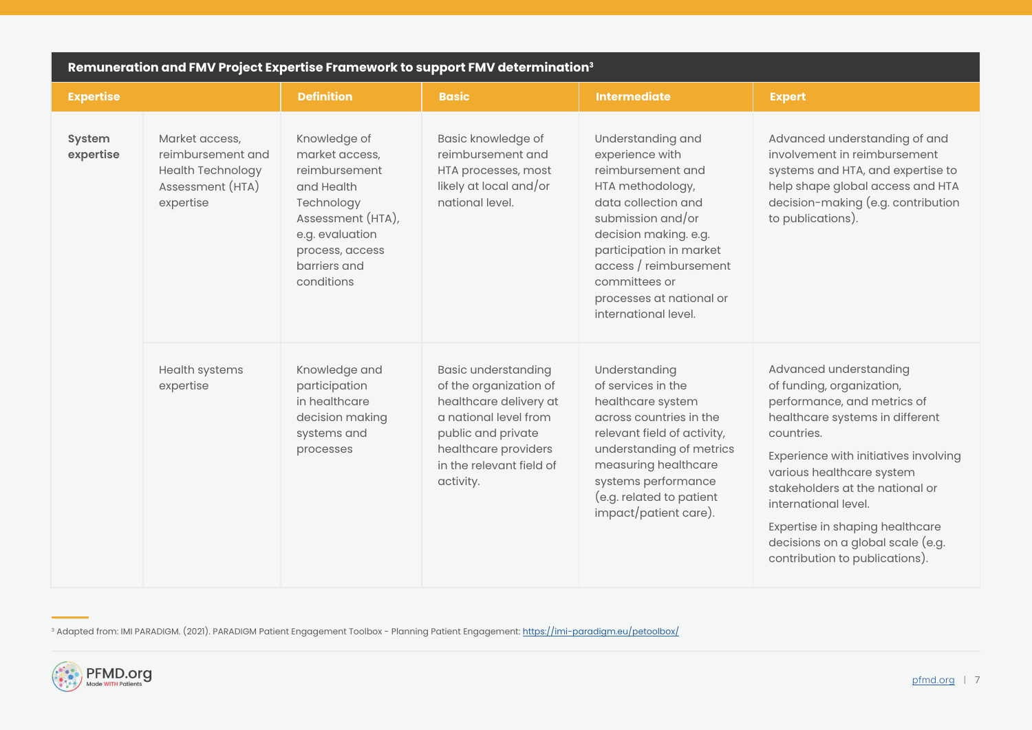| Remuneration and FMV Project Expertise Framework to support FMV determination <sup>3</sup> |                                                                                                  |                                                                                                                                                                      |                                                                                                                                                                                                |                                                                                                                                                                                                                                                                              |                                                                                                                                                                                                                                                                                                                                                                                |
|--------------------------------------------------------------------------------------------|--------------------------------------------------------------------------------------------------|----------------------------------------------------------------------------------------------------------------------------------------------------------------------|------------------------------------------------------------------------------------------------------------------------------------------------------------------------------------------------|------------------------------------------------------------------------------------------------------------------------------------------------------------------------------------------------------------------------------------------------------------------------------|--------------------------------------------------------------------------------------------------------------------------------------------------------------------------------------------------------------------------------------------------------------------------------------------------------------------------------------------------------------------------------|
| <b>Expertise</b>                                                                           |                                                                                                  | <b>Definition</b>                                                                                                                                                    | <b>Basic</b>                                                                                                                                                                                   | <b>Intermediate</b>                                                                                                                                                                                                                                                          | <b>Expert</b>                                                                                                                                                                                                                                                                                                                                                                  |
| System<br>expertise                                                                        | Market access,<br>reimbursement and<br><b>Health Technology</b><br>Assessment (HTA)<br>expertise | Knowledge of<br>market access,<br>reimbursement<br>and Health<br>Technology<br>Assessment (HTA),<br>e.g. evaluation<br>process, access<br>barriers and<br>conditions | Basic knowledge of<br>reimbursement and<br>HTA processes, most<br>likely at local and/or<br>national level.                                                                                    | Understanding and<br>experience with<br>reimbursement and<br>HTA methodology,<br>data collection and<br>submission and/or<br>decision making. e.g.<br>participation in market<br>access / reimbursement<br>committees or<br>processes at national or<br>international level. | Advanced understanding of and<br>involvement in reimbursement<br>systems and HTA, and expertise to<br>help shape global access and HTA<br>decision-making (e.g. contribution<br>to publications).                                                                                                                                                                              |
|                                                                                            | Health systems<br>expertise                                                                      | Knowledge and<br>participation<br>in healthcare<br>decision making<br>systems and<br>processes                                                                       | <b>Basic understanding</b><br>of the organization of<br>healthcare delivery at<br>a national level from<br>public and private<br>healthcare providers<br>in the relevant field of<br>activity. | Understanding<br>of services in the<br>healthcare system<br>across countries in the<br>relevant field of activity,<br>understanding of metrics<br>measuring healthcare<br>systems performance<br>(e.g. related to patient<br>impact/patient care).                           | Advanced understanding<br>of funding, organization,<br>performance, and metrics of<br>healthcare systems in different<br>countries.<br>Experience with initiatives involving<br>various healthcare system<br>stakeholders at the national or<br>international level.<br>Expertise in shaping healthcare<br>decisions on a global scale (e.g.<br>contribution to publications). |

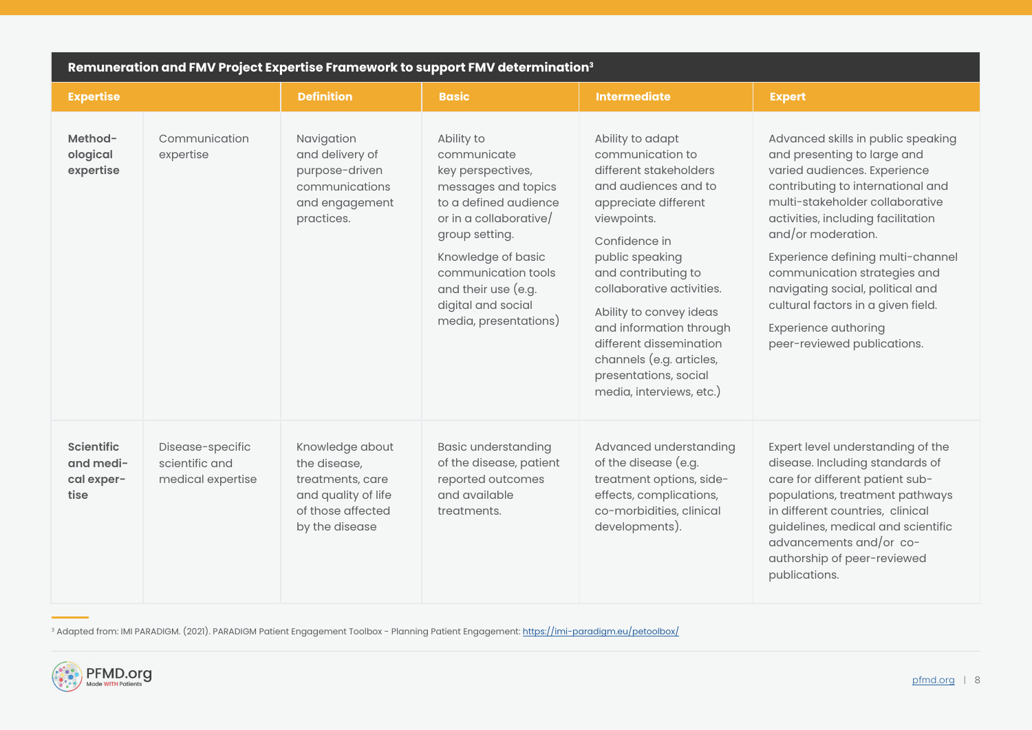| Remuneration and FMV Project Expertise Framework to support FMV determination <sup>3</sup> |                                                         |                                                                                                                   |                                                                                                                                                                                                                                                               |                                                                                                                                                                                                                                                                                                                                                                                         |                                                                                                                                                                                                                                                                                                                                                                                                                                                    |
|--------------------------------------------------------------------------------------------|---------------------------------------------------------|-------------------------------------------------------------------------------------------------------------------|---------------------------------------------------------------------------------------------------------------------------------------------------------------------------------------------------------------------------------------------------------------|-----------------------------------------------------------------------------------------------------------------------------------------------------------------------------------------------------------------------------------------------------------------------------------------------------------------------------------------------------------------------------------------|----------------------------------------------------------------------------------------------------------------------------------------------------------------------------------------------------------------------------------------------------------------------------------------------------------------------------------------------------------------------------------------------------------------------------------------------------|
| <b>Expertise</b>                                                                           |                                                         | <b>Definition</b>                                                                                                 | <b>Basic</b>                                                                                                                                                                                                                                                  | <b>Intermediate</b>                                                                                                                                                                                                                                                                                                                                                                     | <b>Expert</b>                                                                                                                                                                                                                                                                                                                                                                                                                                      |
| Method-<br>ological<br>expertise                                                           | Communication<br>expertise                              | Navigation<br>and delivery of<br>purpose-driven<br>communications<br>and engagement<br>practices.                 | Ability to<br>communicate<br>key perspectives,<br>messages and topics<br>to a defined audience<br>or in a collaborative/<br>group setting.<br>Knowledge of basic<br>communication tools<br>and their use (e.g.<br>digital and social<br>media, presentations) | Ability to adapt<br>communication to<br>different stakeholders<br>and audiences and to<br>appreciate different<br>viewpoints.<br>Confidence in<br>public speaking<br>and contributing to<br>collaborative activities.<br>Ability to convey ideas<br>and information through<br>different dissemination<br>channels (e.g. articles,<br>presentations, social<br>media, interviews, etc.) | Advanced skills in public speaking<br>and presenting to large and<br>varied audiences. Experience<br>contributing to international and<br>multi-stakeholder collaborative<br>activities, including facilitation<br>and/or moderation.<br>Experience defining multi-channel<br>communication strategies and<br>navigating social, political and<br>cultural factors in a given field.<br><b>Experience authoring</b><br>peer-reviewed publications. |
| <b>Scientific</b><br>and medi-<br>cal exper-<br>tise                                       | Disease-specific<br>scientific and<br>medical expertise | Knowledge about<br>the disease,<br>treatments, care<br>and quality of life<br>of those affected<br>by the disease | <b>Basic understanding</b><br>of the disease, patient<br>reported outcomes<br>and available<br>treatments.                                                                                                                                                    | Advanced understanding<br>of the disease (e.g.<br>treatment options, side-<br>effects, complications,<br>co-morbidities, clinical<br>developments).                                                                                                                                                                                                                                     | Expert level understanding of the<br>disease. Including standards of<br>care for different patient sub-<br>populations, treatment pathways<br>in different countries, clinical<br>guidelines, medical and scientific<br>advancements and/or co-<br>authorship of peer-reviewed<br>publications.                                                                                                                                                    |

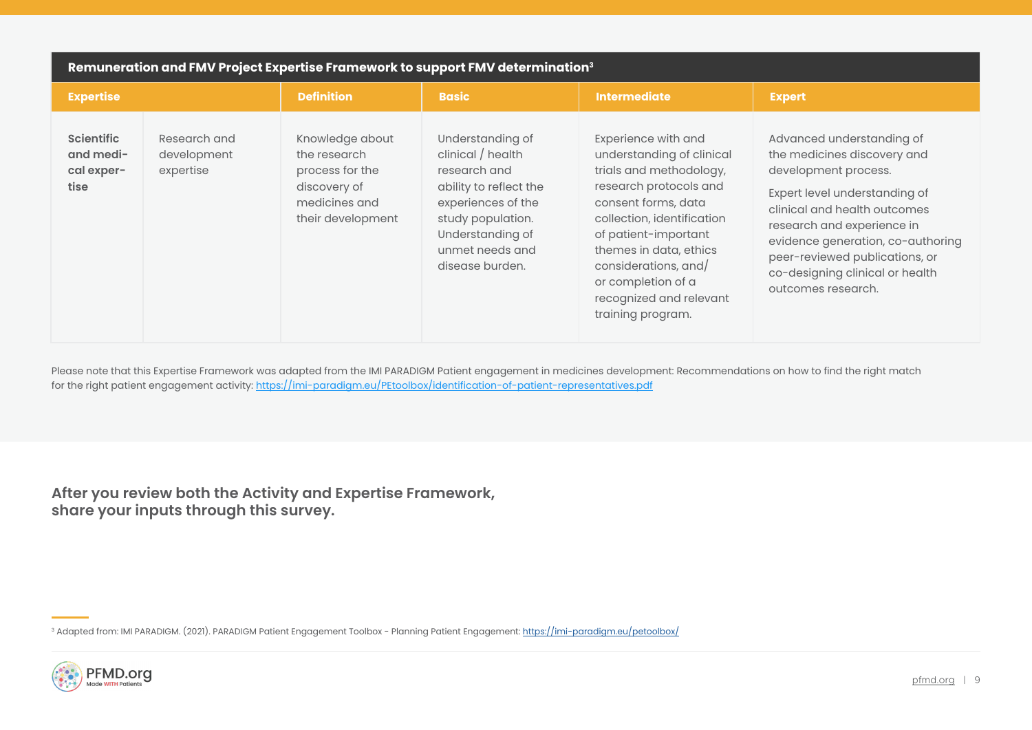| Remuneration and FMV Project Expertise Framework to support FMV determination <sup>3</sup> |                                          |                                                                                                          |                                                                                                                                                                                      |                                                                                                                                                                                                                                                                                                            |                                                                                                                                                                                                                                                                                                                 |  |
|--------------------------------------------------------------------------------------------|------------------------------------------|----------------------------------------------------------------------------------------------------------|--------------------------------------------------------------------------------------------------------------------------------------------------------------------------------------|------------------------------------------------------------------------------------------------------------------------------------------------------------------------------------------------------------------------------------------------------------------------------------------------------------|-----------------------------------------------------------------------------------------------------------------------------------------------------------------------------------------------------------------------------------------------------------------------------------------------------------------|--|
| <b>Expertise</b>                                                                           |                                          | <b>Definition</b>                                                                                        | <b>Basic</b>                                                                                                                                                                         | <b>Intermediate</b>                                                                                                                                                                                                                                                                                        | <b>Expert</b>                                                                                                                                                                                                                                                                                                   |  |
| <b>Scientific</b><br>and medi-<br>cal exper-<br>tise                                       | Research and<br>development<br>expertise | Knowledge about<br>the research<br>process for the<br>discovery of<br>medicines and<br>their development | Understanding of<br>clinical / health<br>research and<br>ability to reflect the<br>experiences of the<br>study population.<br>Understanding of<br>unmet needs and<br>disease burden. | Experience with and<br>understanding of clinical<br>trials and methodology,<br>research protocols and<br>consent forms, data<br>collection, identification<br>of patient-important<br>themes in data, ethics<br>considerations, and/<br>or completion of a<br>recognized and relevant<br>training program. | Advanced understanding of<br>the medicines discovery and<br>development process.<br>Expert level understanding of<br>clinical and health outcomes<br>research and experience in<br>evidence generation, co-authoring<br>peer-reviewed publications, or<br>co-designing clinical or health<br>outcomes research. |  |

Please note that this Expertise Framework was adapted from the IMI PARADIGM Patient engagement in medicines development: Recommendations on how to find the right match for the right patient engagement activity: <https://imi-paradigm.eu/PEtoolbox/identification-of-patient-representatives.pdf>

**After you review both the Activity and Expertise Framework, share your inputs through this survey.**